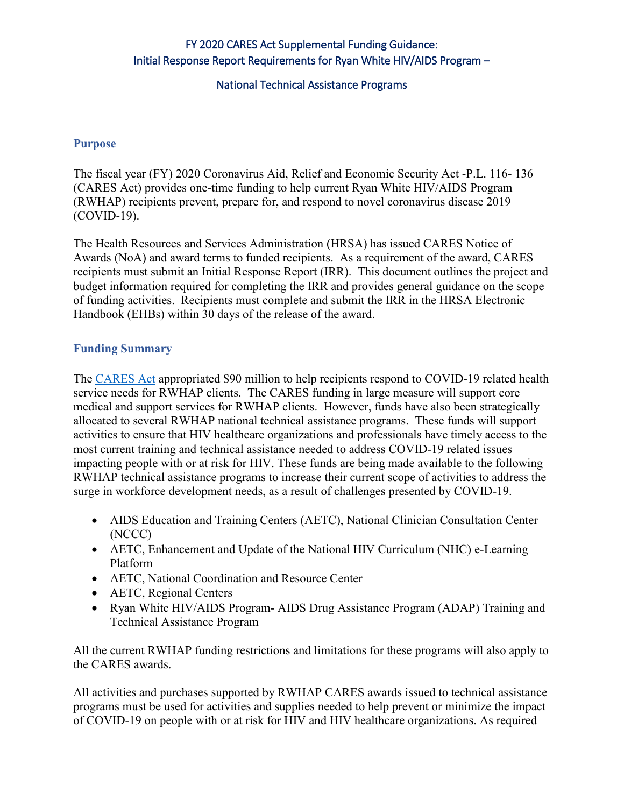# FY 2020 CARES Act Supplemental Funding Guidance: Initial Response Report Requirements for Ryan White HIV/AIDS Program –

### National Technical Assistance Programs

#### **Purpose**

 The fiscal year (FY) 2020 Coronavirus Aid, Relief and Economic Security Act -P.L. 116- 136 (CARES Act) provides one-time funding to help current Ryan White HIV/AIDS Program (RWHAP) recipients prevent, prepare for, and respond to novel coronavirus disease 2019  $(COVID-19)$ .

 Awards (NoA) and award terms to funded recipients. As a requirement of the award, CARES recipients must submit an Initial Response Report (IRR). This document outlines the project and The Health Resources and Services Administration (HRSA) has issued CARES Notice of budget information required for completing the IRR and provides general guidance on the scope of funding activities. Recipients must complete and submit the IRR in the HRSA Electronic Handbook (EHBs) within 30 days of the release of the award.

### **Funding Summary**

 service needs for RWHAP clients. The CARES funding in large measure will support core medical and support services for RWHAP clients. However, funds have also been strategically allocated to several RWHAP national technical assistance programs. These funds will support impacting people with or at risk for HIV. These funds are being made available to the following The [CARES Act](https://www.congress.gov/bill/116th-congress/house-bill/748/text?q=%7B%22search%22%3A%5B%22Coronavirus+Aid%2C+Relief+and+Economic+Security+Act+%28P.L.+116-136%29%22%5D%7D&r=1&s=1) appropriated \$90 million to help recipients respond to COVID-19 related health activities to ensure that HIV healthcare organizations and professionals have timely access to the most current training and technical assistance needed to address COVID-19 related issues RWHAP technical assistance programs to increase their current scope of activities to address the surge in workforce development needs, as a result of challenges presented by COVID-19.

- AIDS Education and Training Centers (AETC), National Clinician Consultation Center (NCCC)
- Platform • AETC, Enhancement and Update of the National HIV Curriculum (NHC) e-Learning
- AETC, National Coordination and Resource Center
- AETC, Regional Centers
- • Ryan White HIV/AIDS Program- AIDS Drug Assistance Program (ADAP) Training and Technical Assistance Program

All the current RWHAP funding restrictions and limitations for these programs will also apply to the CARES awards.

All activities and purchases supported by RWHAP CARES awards issued to technical assistance programs must be used for activities and supplies needed to help prevent or minimize the impact of COVID-19 on people with or at risk for HIV and HIV healthcare organizations. As required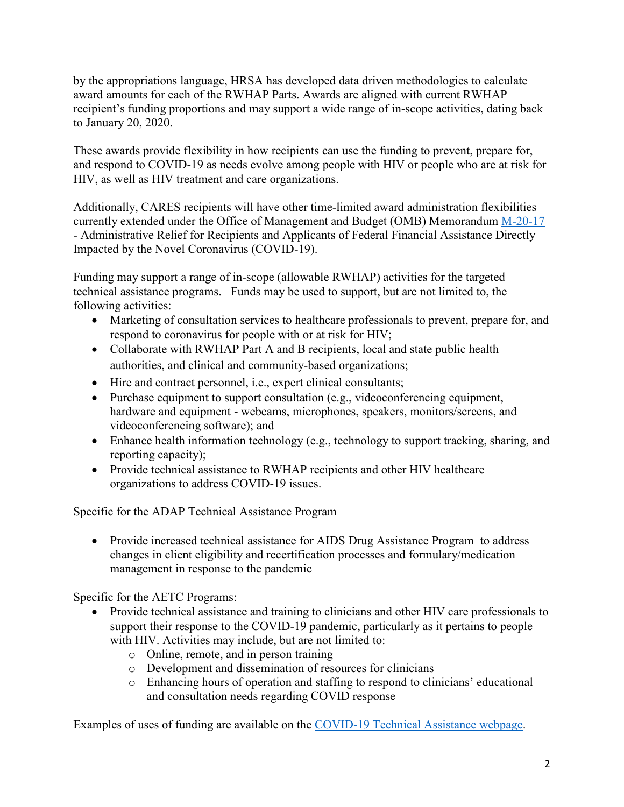award amounts for each of the RWHAP Parts. Awards are aligned with current RWHAP recipient's funding proportions and may support a wide range of in-scope activities, dating back to January 20, 2020. by the appropriations language, HRSA has developed data driven methodologies to calculate

to January 20, 2020.<br>These awards provide flexibility in how recipients can use the funding to prevent, prepare for, HIV, as well as HIV treatment and care organizations. and respond to COVID-19 as needs evolve among people with HIV or people who are at risk for

HIV, as well as HIV treatment and care organizations.<br>Additionally, CARES recipients will have other time-limited award administration flexibilities currently extended under the Office of Management and Budget (OMB) Memorandum M-20-17 - Administrative Relief for Recipients and Applicants of Federal Financial Assistance Directly Impacted by the Novel Coronavirus (COVID-19).

 technical assistance programs. Funds may be used to support, but are not limited to, the Funding may support a range of in-scope (allowable RWHAP) activities for the targeted following activities:

- respond to coronavirus for people with or at risk for HIV; • Marketing of consultation services to healthcare professionals to prevent, prepare for, and
- Collaborate with RWHAP Part A and B recipients, local and state public health authorities, and clinical and community-based organizations;
- Hire and contract personnel, i.e., expert clinical consultants;
- • Purchase equipment to support consultation (e.g., videoconferencing equipment, hardware and equipment - webcams, microphones, speakers, monitors/screens, and videoconferencing software); and
- reporting capacity); • Enhance health information technology (e.g., technology to support tracking, sharing, and
- Provide technical assistance to RWHAP recipients and other HIV healthcare organizations to address COVID-19 issues.

Specific for the ADAP Technical Assistance Program

• Provide increased technical assistance for AIDS Drug Assistance Program to address changes in client eligibility and recertification processes and formulary/medication management in response to the pandemic

Specific for the AETC Programs:

- with HIV. Activities may include, but are not limited to: • Provide technical assistance and training to clinicians and other HIV care professionals to support their response to the COVID-19 pandemic, particularly as it pertains to people
	- o Online, remote, and in person training
	- o Development and dissemination of resources for clinicians
	- o Enhancing hours of operation and staffing to respond to clinicians' educational and consultation needs regarding COVID response

Examples of uses of funding are available on the [COVID-19 Technical Assistance webpage.](https://hab.hrsa.gov/program-grants-management/coronavirus-covid-19-response)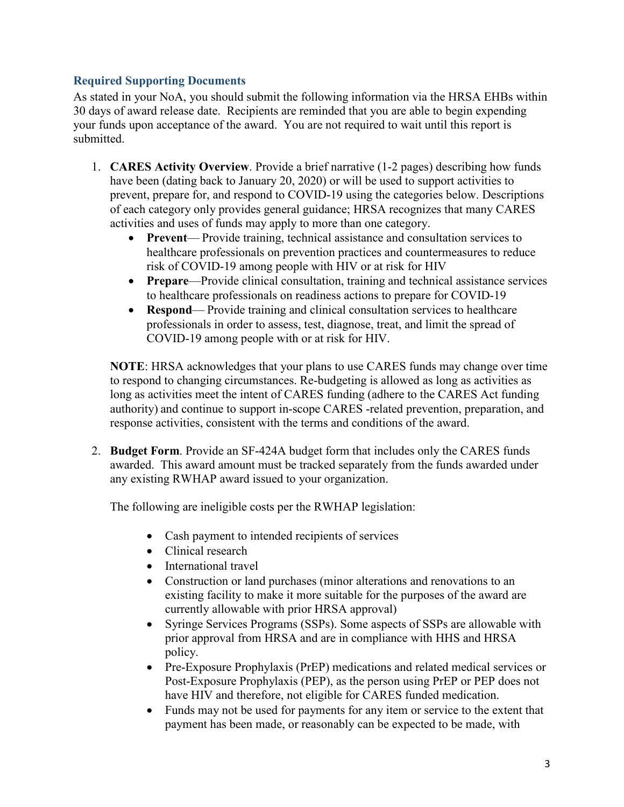## **Required Supporting Documents**

 As stated in your NoA, you should submit the following information via the HRSA EHBs within 30 days of award release date. Recipients are reminded that you are able to begin expending your funds upon acceptance of the award. You are not required to wait until this report is submitted.

- 1. **CARES Activity Overview**. Provide a brief narrative (1-2 pages) describing how funds of each category only provides general guidance; HRSA recognizes that many CARES have been (dating back to January 20, 2020) or will be used to support activities to prevent, prepare for, and respond to COVID-19 using the categories below. Descriptions activities and uses of funds may apply to more than one category.
	- risk of COVID-19 among people with HIV or at risk for HIV • **Prevent**— Provide training, technical assistance and consultation services to healthcare professionals on prevention practices and countermeasures to reduce
	- **Prepare**—Provide clinical consultation, training and technical assistance services to healthcare professionals on readiness actions to prepare for COVID-19
	- professionals in order to assess, test, diagnose, treat, and limit the spread of COVID-19 among people with or at risk for HIV. • **Respond**— Provide training and clinical consultation services to healthcare

 **NOTE**: HRSA acknowledges that your plans to use CARES funds may change over time to respond to changing circumstances. Re-budgeting is allowed as long as activities as long as activities meet the intent of CARES funding (adhere to the CARES Act funding authority) and continue to support in-scope CARES -related prevention, preparation, and response activities, consistent with the terms and conditions of the award.

 2. **Budget Form**. Provide an SF-424A budget form that includes only the CARES funds awarded. This award amount must be tracked separately from the funds awarded under any existing RWHAP award issued to your organization.

The following are ineligible costs per the RWHAP legislation:

- Cash payment to intended recipients of services
- Clinical research
- International travel
- existing facility to make it more suitable for the purposes of the award are currently allowable with prior HRSA approval) • Construction or land purchases (minor alterations and renovations to an
- prior approval from HRSA and are in compliance with HHS and HRSA • Syringe Services Programs (SSPs). Some aspects of SSPs are allowable with policy.
- • Pre-Exposure Prophylaxis (PrEP) medications and related medical services or Post-Exposure Prophylaxis (PEP), as the person using PrEP or PEP does not have HIV and therefore, not eligible for CARES funded medication.
- • Funds may not be used for payments for any item or service to the extent that payment has been made, or reasonably can be expected to be made, with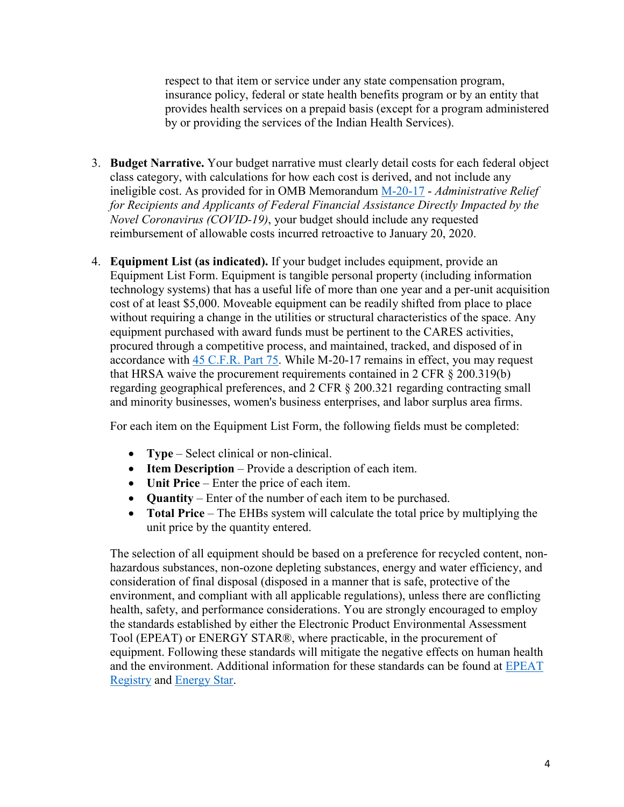respect to that item or service under any state compensation program, insurance policy, federal or state health benefits program or by an entity that provides health services on a prepaid basis (except for a program administered by or providing the services of the Indian Health Services).

- ineligible cost. As provided for in OMB Memorandum [M-20-17](https://www.whitehouse.gov/wp-content/uploads/2020/03/M-20-17.pdf)  *Administrative Relief*  reimbursement of allowable costs incurred retroactive to January 20, 2020. 3. **Budget Narrative.** Your budget narrative must clearly detail costs for each federal object class category, with calculations for how each cost is derived, and not include any *for Recipients and Applicants of Federal Financial Assistance Directly Impacted by the Novel Coronavirus (COVID-19)*, your budget should include any requested
- equipment purchased with award funds must be pertinent to the CARES activities, 4. **Equipment List (as indicated).** If your budget includes equipment, provide an Equipment List Form. Equipment is tangible personal property (including information technology systems) that has a useful life of more than one year and a per-unit acquisition cost of at least \$5,000. Moveable equipment can be readily shifted from place to place without requiring a change in the utilities or structural characteristics of the space. Any procured through a competitive process, and maintained, tracked, and disposed of in accordance with [45 C.F.R. Part 75.](https://www.ecfr.gov/cgi-bin/retrieveECFR?gp=1&SID=501752740986e7a2e59e46b724c0a2a7&ty=HTML&h=L&r=PART&n=pt45.1.75) While M-20-17 remains in effect, you may request that HRSA waive the procurement requirements contained in 2 CFR § 200.319(b) regarding geographical preferences, and 2 CFR § 200.321 regarding contracting small and minority businesses, women's business enterprises, and labor surplus area firms.

For each item on the Equipment List Form, the following fields must be completed:

- **Type**  Select clinical or non-clinical.
- **Item Description**  Provide a description of each item.
- **Unit Price**  Enter the price of each item.
- **Quantity**  Enter of the number of each item to be purchased.
- • **Total Price**  The EHBs system will calculate the total price by multiplying the unit price by the quantity entered.

 equipment. Following these standards will mitigate the negative effects on human health The selection of all equipment should be based on a preference for recycled content, nonhazardous substances, non-ozone depleting substances, energy and water efficiency, and consideration of final disposal (disposed in a manner that is safe, protective of the environment, and compliant with all applicable regulations), unless there are conflicting health, safety, and performance considerations. You are strongly encouraged to employ the standards established by either the Electronic Product Environmental Assessment Tool (EPEAT) or ENERGY STAR®, where practicable, in the procurement of and the environment. Additional information for these standards can be found at [EPEAT](http://www.epeat.net/)  [Registry](http://www.epeat.net/) and [Energy Star.](http://www.energystar.gov/)